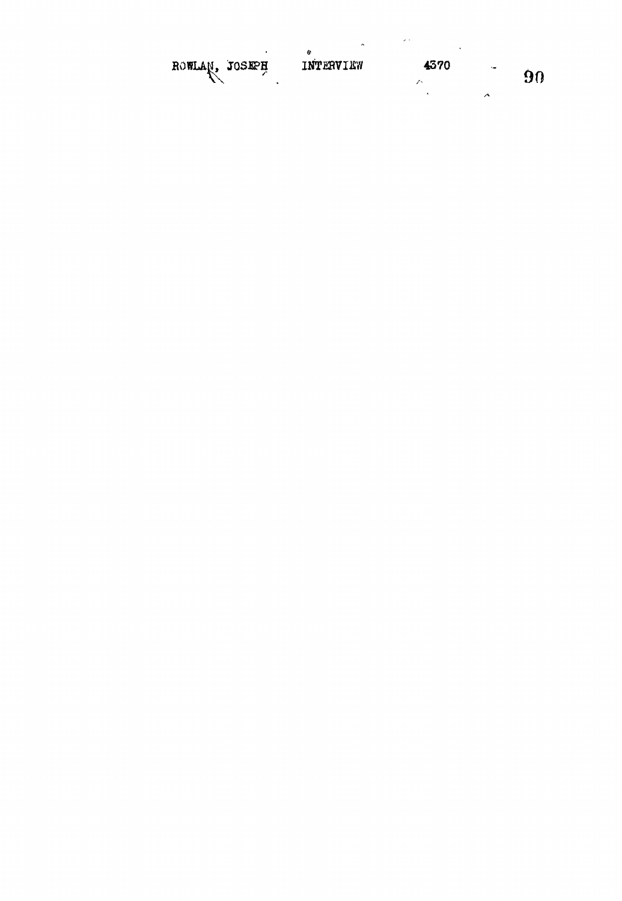|                | $\hat{\phantom{a}}$ | $\sim$ $\sim$ |         |    |
|----------------|---------------------|---------------|---------|----|
| ROWLAN, JOSEPH | ø<br>INTERVIEW      | 4370          | $\cdot$ | 90 |
|                |                     |               |         |    |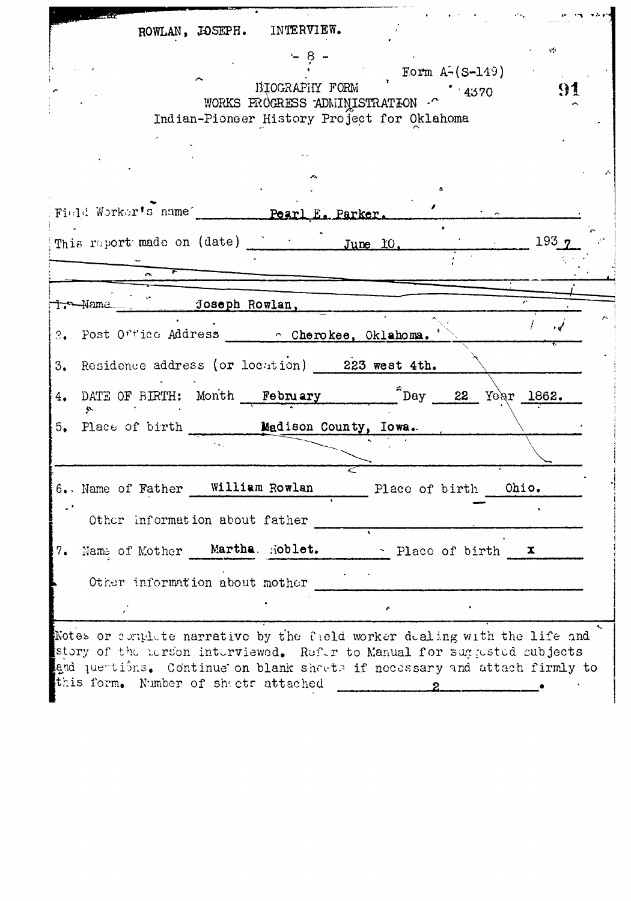**ROWLAN, JOSEPH. INTERVIEW.**  $- 8 -$ Form  $A - (S - 149)$ BIOGRAPHY FORM 91  $BIOGRAFHY$   $FORM$   $(4370$ WORKS FROGRESS ADMINISTRATION  $\cdot^{\sim}$ Indian-Pioneer History Project for Oklahoma Field Worker's name **Pearl E. Parker.** This report made on (date)  $\frac{193 \text{ y}}{2}$ Tre-Name Joseph Rowlan, 2. Post Office Address **Cherokee, Oklahoma.** *\** 3, Residence address (or location) **223 west 4th.** 4. DATE OF BIRTH: Month February <u><sup>5</sup>Day</sup> 22</u> Year 1862. 5. Place of birth **Hadi8on County, Iowa.-** 6.. Name of Father **William Rowlan** Place **of** birth **Ohio.** Other information about father 7. Name of Mother Martha, Hoblet. - Place of birth x Other information about mother Notes or epril te narrative by the field worker dealing with the life and story of the Eerson interviewed. Refer to Manual for suggested subjects

and quentions. Continue on blank sharts if necessary and attach firmly to this form. Number of sheets attached  $\mathbf{z}$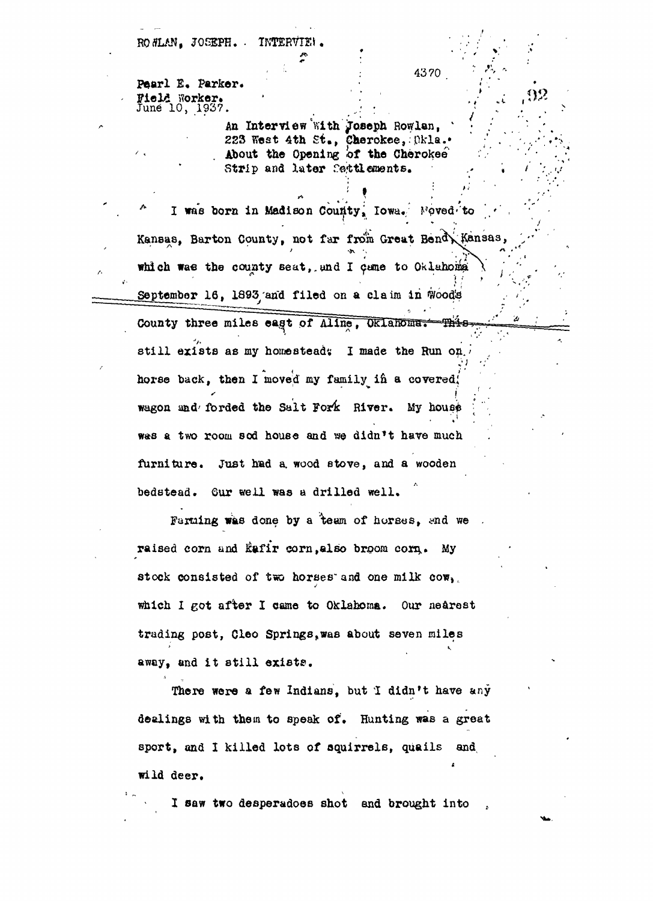ROWLAN. JOSEPH. • INTERVIE!.

Pearl E. Parker. Field Worker\*  $J$ une  $10, 1937$ .

*'*

An Interview "With Joseph Rowlan, 223 West 4th St., Cherokee, Dkla.. About the Opening of the Cherokee<sup>®</sup> Strip and later fettlements.

> **, ;**

I was born in Madison County, Iowa. Foved to Kansas, Barton County, not far from Great Bend, Kansas, which was the county seat, and I came to Oklahoma September 16, 1893 and filed on a claim in Woods

County three miles east of Aline, Oklahoma. ╺᠊ᢓᡱ╅ᢆ╪  $\mathcal{F}$ still exists as my homestead: I made the Run on.  $\star$  (  $\cdot$  +  $\cdot$  +  $\cdot$  +  $\cdot$  +  $\cdot$  +  $\cdot$  +  $\cdot$  +  $\cdot$  +  $\cdot$  +  $\cdot$  +  $\cdot$  +  $\cdot$  +  $\cdot$  +  $\cdot$  +  $\cdot$  +  $\cdot$  +  $\cdot$  +  $\cdot$  +  $\cdot$  +  $\cdot$  +  $\cdot$  +  $\cdot$  +  $\cdot$  +  $\cdot$  +  $\cdot$  +  $\cdot$  +  $\cdot$  +  $\cdot$  +  $\cdot$  +  $\cdot$  +  $\cdot$ horse back, then I moved my family in a covered! wagon and forded the Salt Fork River. My house was a two room sod house and we didn't have much w«s a two room sod house and we didn't have much  $\lambda$ 

Farming was done by a team of horses, and we raised corn and Eafir corn, also broom corn. My stock consisted of two horses and one milk cow, which I got after I came to Oklahoma. Our nearest trading post, Cleo Springs, was about seven miles away, and it still exists.

There were a few Indians, but I didn't have any dealings with them to speak of. Hunting was a great sport, and I killed lots of squirrels, quails and  $\frac{1}{2}$ sport, and I killed lots of squirrels,  $\frac{1}{2}$  killed lots of squirrels,  $\frac{1}{2}$  and,  $\frac{1}{2}$  and,  $\frac{1}{2}$  and,  $\frac{1}{2}$  and,  $\frac{1}{2}$  and,  $\frac{1}{2}$  and,  $\frac{1}{2}$  and,  $\frac{1}{2}$  and,  $\frac{1}{2}$  and,  $\$ 

I saw two desperadoes shot and brought into

4370

<sup>r</sup>'~'

 $\bullet$  :  $\bullet$  :  $\bullet$  :  $\bullet$  :  $\bullet$  :  $\bullet$  :  $\bullet$  :  $\bullet$  :  $\bullet$  :  $\bullet$  :  $\bullet$  :  $\bullet$  :  $\bullet$  :  $\bullet$  :  $\bullet$  :  $\bullet$  :  $\bullet$  :  $\bullet$  :  $\bullet$  :  $\bullet$  :  $\bullet$  :  $\bullet$  :  $\bullet$  :  $\bullet$  :  $\bullet$  :  $\bullet$  :  $\bullet$  :  $\bullet$  :  $\bullet$  :  $\bullet$  :  $\bullet$  :  $\bullet$ 

 **t**  $\mathbf{r} = \mathbf{r} \cdot \mathbf{r}$